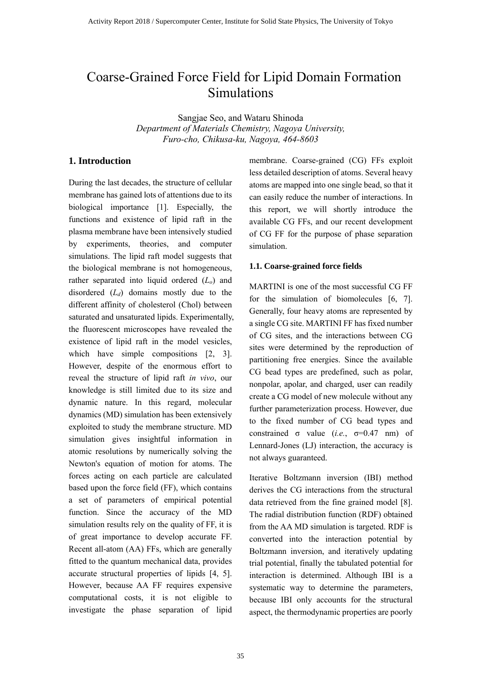# Coarse-Grained Force Field for Lipid Domain Formation Simulations

Sangjae Seo, and Wataru Shinoda

*Department of Materials Chemistry, Nagoya University, Furo-cho, Chikusa-ku, Nagoya, 464-8603*

# **1. Introduction**

During the last decades, the structure of cellular membrane has gained lots of attentions due to its biological importance [1]. Especially, the functions and existence of lipid raft in the plasma membrane have been intensively studied by experiments, theories, and computer simulations. The lipid raft model suggests that the biological membrane is not homogeneous, rather separated into liquid ordered (*Lo*) and disordered (*Ld*) domains mostly due to the different affinity of cholesterol (Chol) between saturated and unsaturated lipids. Experimentally, the fluorescent microscopes have revealed the existence of lipid raft in the model vesicles, which have simple compositions [2, 3]. However, despite of the enormous effort to reveal the structure of lipid raft *in vivo*, our knowledge is still limited due to its size and dynamic nature. In this regard, molecular dynamics (MD) simulation has been extensively exploited to study the membrane structure. MD simulation gives insightful information in atomic resolutions by numerically solving the Newton's equation of motion for atoms. The forces acting on each particle are calculated based upon the force field (FF), which contains a set of parameters of empirical potential function. Since the accuracy of the MD simulation results rely on the quality of FF, it is of great importance to develop accurate FF. Recent all-atom (AA) FFs, which are generally fitted to the quantum mechanical data, provides accurate structural properties of lipids [4, 5]. However, because AA FF requires expensive computational costs, it is not eligible to investigate the phase separation of lipid

membrane. Coarse-grained (CG) FFs exploit less detailed description of atoms. Several heavy atoms are mapped into one single bead, so that it can easily reduce the number of interactions. In this report, we will shortly introduce the available CG FFs, and our recent development of CG FF for the purpose of phase separation simulation.

#### **1.1. Coarse-grained force fields**

MARTINI is one of the most successful CG FF for the simulation of biomolecules [6, 7]. Generally, four heavy atoms are represented by a single CG site. MARTINI FF has fixed number of CG sites, and the interactions between CG sites were determined by the reproduction of partitioning free energies. Since the available CG bead types are predefined, such as polar, nonpolar, apolar, and charged, user can readily create a CG model of new molecule without any further parameterization process. However, due to the fixed number of CG bead types and constrained  $\sigma$  value (*i.e.*,  $\sigma$ =0.47 nm) of Lennard-Jones (LJ) interaction, the accuracy is not always guaranteed.

Iterative Boltzmann inversion (IBI) method derives the CG interactions from the structural data retrieved from the fine grained model [8]. The radial distribution function (RDF) obtained from the AA MD simulation is targeted. RDF is converted into the interaction potential by Boltzmann inversion, and iteratively updating trial potential, finally the tabulated potential for interaction is determined. Although IBI is a systematic way to determine the parameters, because IBI only accounts for the structural aspect, the thermodynamic properties are poorly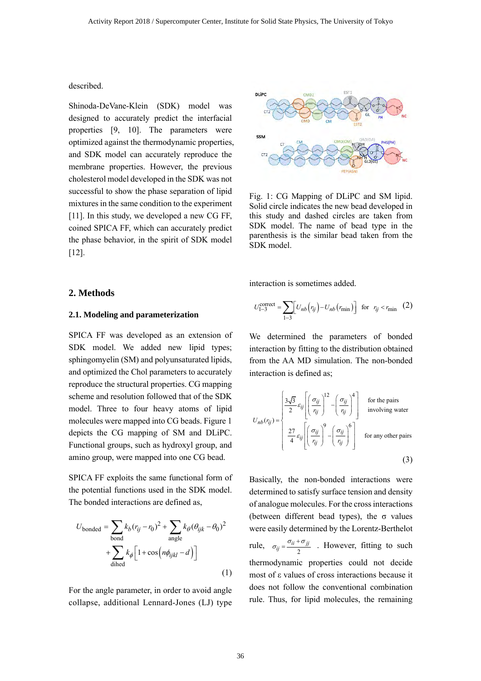described.

Shinoda-DeVane-Klein (SDK) model was designed to accurately predict the interfacial properties [9, 10]. The parameters were optimized against the thermodynamic properties, and SDK model can accurately reproduce the membrane properties. However, the previous cholesterol model developed in the SDK was not successful to show the phase separation of lipid mixtures in the same condition to the experiment [11]. In this study, we developed a new CG FF, coined SPICA FF, which can accurately predict the phase behavior, in the spirit of SDK model [12].



Fig. 1: CG Mapping of DLiPC and SM lipid. Solid circle indicates the new bead developed in this study and dashed circles are taken from SDK model. The name of bead type in the parenthesis is the similar bead taken from the SDK model.

interaction is sometimes added.

#### **2. Methods**

## **2.1. Modeling and parameterization**

SPICA FF was developed as an extension of SDK model. We added new lipid types; sphingomyelin (SM) and polyunsaturated lipids, and optimized the Chol parameters to accurately reproduce the structural properties. CG mapping scheme and resolution followed that of the SDK model. Three to four heavy atoms of lipid molecules were mapped into CG beads. Figure 1 depicts the CG mapping of SM and DLiPC. Functional groups, such as hydroxyl group, and amino group, were mapped into one CG bead.

SPICA FF exploits the same functional form of the potential functions used in the SDK model. The bonded interactions are defined as,

$$
U_{\text{bonded}} = \sum_{\text{bond}} k_b (r_{ij} - r_0)^2 + \sum_{\text{angle}} k_{\theta} (\theta_{ijk} - \theta_0)^2
$$

$$
+ \sum_{\text{dihed}} k_{\phi} \Big[ 1 + \cos \Big( n \phi_{ijkl} - d \Big) \Big]
$$
(1)

For the angle parameter, in order to avoid angle collapse, additional Lennard-Jones (LJ) type

$$
U_{1-3}^{\text{correct}} = \sum_{1-3} \left[ U_{nb} \left( r_{ij} \right) - U_{nb} \left( r_{\text{min}} \right) \right] \text{ for } r_{ij} < r_{\text{min}} \quad (2)
$$

We determined the parameters of bonded interaction by fitting to the distribution obtained from the AA MD simulation. The non-bonded interaction is defined as;

$$
U_{nb}(r_{ij}) = \begin{cases} \frac{3\sqrt{3}}{2} \varepsilon_{ij} \left[ \left( \frac{\sigma_{ij}}{r_{ij}} \right)^{12} - \left( \frac{\sigma_{ij}}{r_{ij}} \right)^{4} \right] & \text{for the pairs} \\ \frac{27}{4} \varepsilon_{ij} \left[ \left( \frac{\sigma_{ij}}{r_{ij}} \right)^{9} - \left( \frac{\sigma_{ij}}{r_{ij}} \right)^{6} \right] & \text{for any other pairs} \end{cases}
$$
(3)

Basically, the non-bonded interactions were determined to satisfy surface tension and density of analogue molecules. For the cross interactions (between different bead types), the  $\sigma$  values were easily determined by the Lorentz-Berthelot rule,  $\sigma_{ij} = \frac{\sigma_{ii} + \sigma_{jj}}{2}$ . However, fitting to such thermodynamic properties could not decide most of ε values of cross interactions because it does not follow the conventional combination rule. Thus, for lipid molecules, the remaining  $\sigma_{ij} = \frac{\sigma_{ii} + \sigma_{jj}}{2}$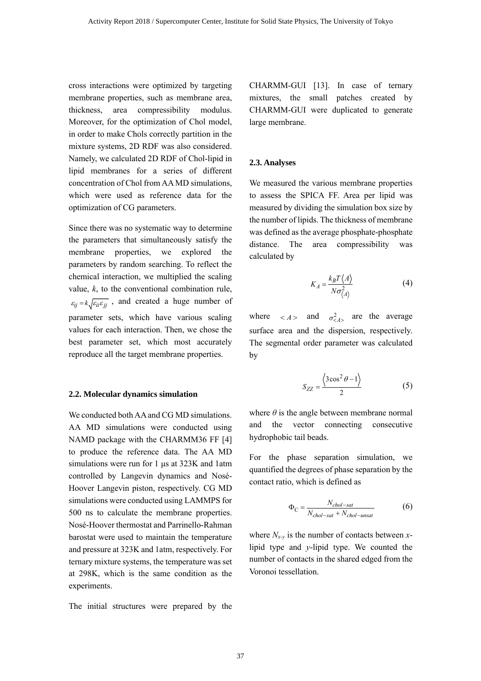cross interactions were optimized by targeting membrane properties, such as membrane area, thickness, area compressibility modulus. Moreover, for the optimization of Chol model, in order to make Chols correctly partition in the mixture systems, 2D RDF was also considered. Namely, we calculated 2D RDF of Chol-lipid in lipid membranes for a series of different concentration of Chol from AA MD simulations, which were used as reference data for the optimization of CG parameters.

Since there was no systematic way to determine the parameters that simultaneously satisfy the membrane properties, we explored the parameters by random searching. To reflect the chemical interaction, we multiplied the scaling value, *k*, to the conventional combination rule,  $\varepsilon_{ij} = k \sqrt{\varepsilon_{ii} \varepsilon_{jj}}$ , and created a huge number of parameter sets, which have various scaling values for each interaction. Then, we chose the best parameter set, which most accurately reproduce all the target membrane properties.

#### **2.2. Molecular dynamics simulation**

We conducted both AA and CG MD simulations. AA MD simulations were conducted using NAMD package with the CHARMM36 FF [4] to produce the reference data. The AA MD simulations were run for 1 μs at 323K and 1atm controlled by Langevin dynamics and Nosé-Hoover Langevin piston, respectively. CG MD simulations were conducted using LAMMPS for 500 ns to calculate the membrane properties. Nosé-Hoover thermostat and Parrinello-Rahman barostat were used to maintain the temperature and pressure at 323K and 1atm, respectively. For ternary mixture systems, the temperature was set at 298K, which is the same condition as the experiments.

The initial structures were prepared by the

CHARMM-GUI [13]. In case of ternary mixtures, the small patches created by CHARMM-GUI were duplicated to generate large membrane.

# **2.3. Analyses**

We measured the various membrane properties to assess the SPICA FF. Area per lipid was measured by dividing the simulation box size by the number of lipids. The thickness of membrane was defined as the average phosphate-phosphate distance. The area compressibility was calculated by

$$
K_A = \frac{k_B T \langle A \rangle}{N \sigma_{\langle A \rangle}^2} \tag{4}
$$

where  $\langle A \rangle$  and  $\sigma_{\langle A \rangle}^2$  are the average surface area and the dispersion, respectively. The segmental order parameter was calculated by

$$
S_{ZZ} = \frac{\langle 3\cos^2\theta - 1 \rangle}{2} \tag{5}
$$

where  $\theta$  is the angle between membrane normal and the vector connecting consecutive hydrophobic tail beads.

For the phase separation simulation, we quantified the degrees of phase separation by the contact ratio, which is defined as

$$
\Phi_{\rm C} = \frac{N_{\text{chol-sat}}}{N_{\text{chol-sat}} + N_{\text{chol-unsat}}} \tag{6}
$$

where  $N_{x-y}$  is the number of contacts between *x*lipid type and *y*-lipid type. We counted the number of contacts in the shared edged from the Voronoi tessellation.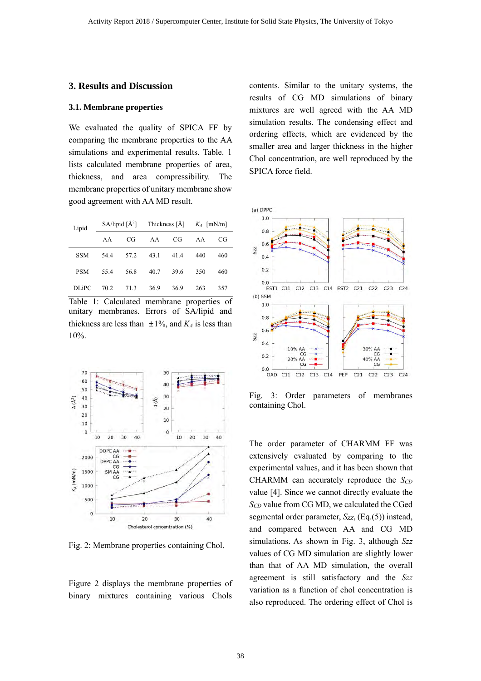# **3. Results and Discussion**

## **3.1. Membrane properties**

We evaluated the quality of SPICA FF by comparing the membrane properties to the AA simulations and experimental results. Table. 1 lists calculated membrane properties of area, thickness, and area compressibility. The membrane properties of unitary membrane show good agreement with AA MD result.

| Lipid        |      |      | SA/lipid $\left[\AA^2\right]$ Thickness $\left[\AA\right]$ K <sub>A</sub> $\left[mN/m\right]$ |      |     |     |
|--------------|------|------|-----------------------------------------------------------------------------------------------|------|-----|-----|
|              | A A  | CG   | AA                                                                                            | CG   | AA  | CG  |
| <b>SSM</b>   | 54.4 |      | 57.2 43.1                                                                                     | 41.4 | 440 | 460 |
| <b>PSM</b>   | 55.4 | 56.8 | 40.7                                                                                          | 39.6 | 350 | 460 |
| <b>DLiPC</b> | 70.2 | 71.3 | 36.9                                                                                          | 36.9 | 263 | 357 |

Table 1: Calculated membrane properties of unitary membranes. Errors of SA/lipid and thickness are less than  $\pm 1\%$ , and  $K_A$  is less than 10%.



Fig. 2: Membrane properties containing Chol.

Figure 2 displays the membrane properties of binary mixtures containing various Chols

contents. Similar to the unitary systems, the results of CG MD simulations of binary mixtures are well agreed with the AA MD simulation results. The condensing effect and ordering effects, which are evidenced by the smaller area and larger thickness in the higher Chol concentration, are well reproduced by the SPICA force field.



Fig. 3: Order parameters of membranes containing Chol.

The order parameter of CHARMM FF was extensively evaluated by comparing to the experimental values, and it has been shown that CHARMM can accurately reproduce the *S<sub>CD</sub>* value [4]. Since we cannot directly evaluate the *SCD* value from CG MD, we calculated the CGed segmental order parameter,  $S_{ZZ}$ , (Eq.(5)) instead, and compared between AA and CG MD simulations. As shown in Fig. 3, although *Szz* values of CG MD simulation are slightly lower than that of AA MD simulation, the overall agreement is still satisfactory and the *Szz* variation as a function of chol concentration is also reproduced. The ordering effect of Chol is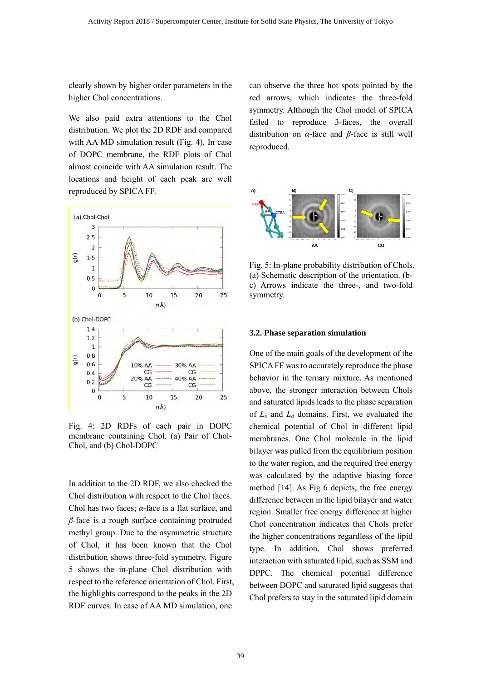clearly shown by higher order parameters in the higher Chol concentrations.

We also paid extra attentions to the Chol distribution. We plot the 2D RDF and compared with AA MD simulation result (Fig. 4). In case of DOPC membrane, the RDF plots of Chol almost coincide with AA simulation result. The locations and height of each peak are well reproduced by SPICA FF.



Fig. 4: 2D RDFs of each pair in DOPC membrane containing Chol. (a) Pair of Chol-Chol, and (b) Chol-DOPC

In addition to the 2D RDF, we also checked the Chol distribution with respect to the Chol faces. Chol has two faces; *α*-face is a flat surface, and *β*-face is a rough surface containing protruded methyl group. Due to the asymmetric structure of Chol, it has been known that the Chol distribution shows three-fold symmetry. Figure 5 shows the in-plane Chol distribution with respect to the reference orientation of Chol. First, the highlights correspond to the peaks in the 2D RDF curves. In case of AA MD simulation, one

can observe the three hot spots pointed by the red arrows, which indicates the three-fold symmetry. Although the Chol model of SPICA failed to reproduce 3-faces, the overall distribution on *α*-face and *β*-face is still well reproduced.



Fig. 5: In-plane probability distribution of Chols. (a) Schematic description of the orientation. (bc) Arrows indicate the three-, and two-fold symmetry.

#### **3.2. Phase separation simulation**

One of the main goals of the development of the SPICA FF was to accurately reproduce the phase behavior in the ternary mixture. As mentioned above, the stronger interaction between Chols and saturated lipids leads to the phase separation of *Lo* and *Ld* domains. First, we evaluated the chemical potential of Chol in different lipid membranes. One Chol molecule in the lipid bilayer was pulled from the equilibrium position to the water region, and the required free energy was calculated by the adaptive biasing force method [14]. As Fig 6 depicts, the free energy difference between in the lipid bilayer and water region. Smaller free energy difference at higher Chol concentration indicates that Chols prefer the higher concentrations regardless of the lipid type. In addition, Chol shows preferred interaction with saturated lipid, such as SSM and DPPC. The chemical potential difference between DOPC and saturated lipid suggests that Chol prefers to stay in the saturated lipid domain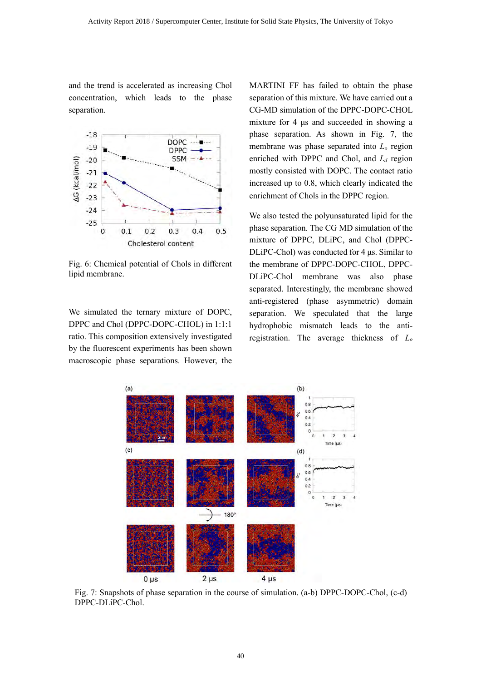and the trend is accelerated as increasing Chol concentration, which leads to the phase separation.



Fig. 6: Chemical potential of Chols in different lipid membrane.

We simulated the ternary mixture of DOPC, DPPC and Chol (DPPC-DOPC-CHOL) in 1:1:1 ratio. This composition extensively investigated by the fluorescent experiments has been shown macroscopic phase separations. However, the

MARTINI FF has failed to obtain the phase separation of this mixture. We have carried out a CG-MD simulation of the DPPC-DOPC-CHOL mixture for 4 μs and succeeded in showing a phase separation. As shown in Fig. 7, the membrane was phase separated into *Lo* region enriched with DPPC and Chol, and *Ld* region mostly consisted with DOPC. The contact ratio increased up to 0.8, which clearly indicated the enrichment of Chols in the DPPC region.

We also tested the polyunsaturated lipid for the phase separation. The CG MD simulation of the mixture of DPPC, DLiPC, and Chol (DPPC-DLiPC-Chol) was conducted for 4 μs. Similar to the membrane of DPPC-DOPC-CHOL, DPPC-DLiPC-Chol membrane was also phase separated. Interestingly, the membrane showed anti-registered (phase asymmetric) domain separation. We speculated that the large hydrophobic mismatch leads to the antiregistration. The average thickness of *Lo*



Fig. 7: Snapshots of phase separation in the course of simulation. (a-b) DPPC-DOPC-Chol, (c-d) DPPC-DLiPC-Chol.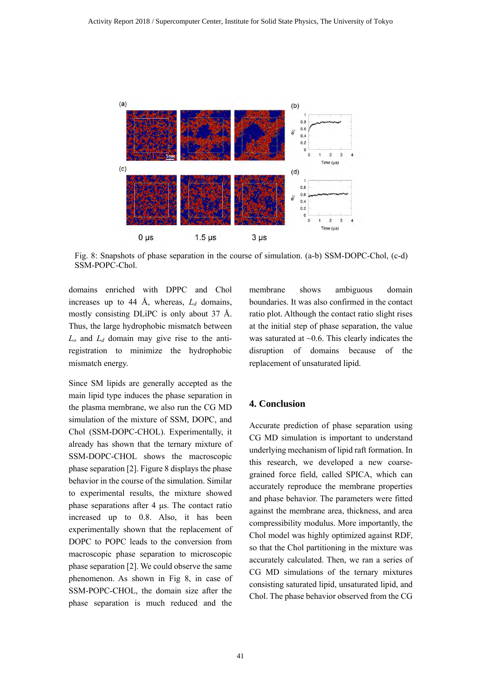

Fig. 8: Snapshots of phase separation in the course of simulation. (a-b) SSM-DOPC-Chol, (c-d) SSM-POPC-Chol.

domains enriched with DPPC and Chol increases up to 44 Å, whereas, *Ld* domains, mostly consisting DLiPC is only about 37 Å. Thus, the large hydrophobic mismatch between *Lo* and *Ld* domain may give rise to the antiregistration to minimize the hydrophobic mismatch energy.

Since SM lipids are generally accepted as the main lipid type induces the phase separation in the plasma membrane, we also run the CG MD simulation of the mixture of SSM, DOPC, and Chol (SSM-DOPC-CHOL). Experimentally, it already has shown that the ternary mixture of SSM-DOPC-CHOL shows the macroscopic phase separation [2]. Figure 8 displays the phase behavior in the course of the simulation. Similar to experimental results, the mixture showed phase separations after 4 μs. The contact ratio increased up to 0.8. Also, it has been experimentally shown that the replacement of DOPC to POPC leads to the conversion from macroscopic phase separation to microscopic phase separation [2]. We could observe the same phenomenon. As shown in Fig 8, in case of SSM-POPC-CHOL, the domain size after the phase separation is much reduced and the

membrane shows ambiguous domain boundaries. It was also confirmed in the contact ratio plot. Although the contact ratio slight rises at the initial step of phase separation, the value was saturated at  $\sim$ 0.6. This clearly indicates the disruption of domains because of the replacement of unsaturated lipid.

# **4. Conclusion**

Accurate prediction of phase separation using CG MD simulation is important to understand underlying mechanism of lipid raft formation. In this research, we developed a new coarsegrained force field, called SPICA, which can accurately reproduce the membrane properties and phase behavior. The parameters were fitted against the membrane area, thickness, and area compressibility modulus. More importantly, the Chol model was highly optimized against RDF, so that the Chol partitioning in the mixture was accurately calculated. Then, we ran a series of CG MD simulations of the ternary mixtures consisting saturated lipid, unsaturated lipid, and Chol. The phase behavior observed from the CG